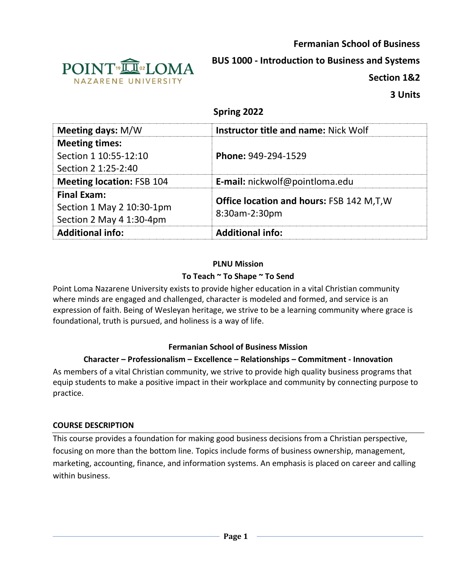**Fermanian School of Business**



**BUS 1000 - Introduction to Business and Systems**

**Section 1&2**

# **Spring 2022**

| <b>Meeting days: M/W</b>         | <b>Instructor title and name: Nick Wolf</b>     |  |
|----------------------------------|-------------------------------------------------|--|
| <b>Meeting times:</b>            |                                                 |  |
| Section 1 10:55-12:10            | Phone: 949-294-1529                             |  |
| Section 2 1:25-2:40              |                                                 |  |
| <b>Meeting location: FSB 104</b> | E-mail: nickwolf@pointloma.edu                  |  |
| <b>Final Exam:</b>               |                                                 |  |
| Section 1 May 2 10:30-1pm        | <b>Office location and hours: FSB 142 M,T,W</b> |  |
| Section 2 May 4 1:30-4pm         | 8:30am-2:30pm                                   |  |
| <b>Additional info:</b>          | <b>Additional info:</b>                         |  |

#### **PLNU Mission To Teach ~ To Shape ~ To Send**

Point Loma Nazarene University exists to provide higher education in a vital Christian community where minds are engaged and challenged, character is modeled and formed, and service is an expression of faith. Being of Wesleyan heritage, we strive to be a learning community where grace is foundational, truth is pursued, and holiness is a way of life.

## **Fermanian School of Business Mission**

## **Character – Professionalism – Excellence – Relationships – Commitment - Innovation**

As members of a vital Christian community, we strive to provide high quality business programs that equip students to make a positive impact in their workplace and community by connecting purpose to practice.

## **COURSE DESCRIPTION**

This course provides a foundation for making good business decisions from a Christian perspective, focusing on more than the bottom line. Topics include forms of business ownership, management, marketing, accounting, finance, and information systems. An emphasis is placed on career and calling within business.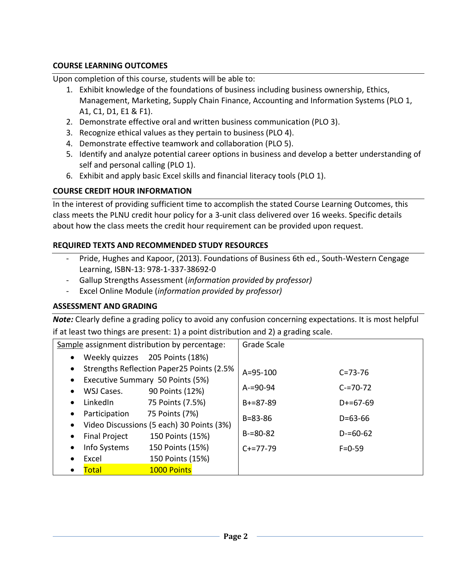## **COURSE LEARNING OUTCOMES**

Upon completion of this course, students will be able to:

- 1. Exhibit knowledge of the foundations of business including business ownership, Ethics, Management, Marketing, Supply Chain Finance, Accounting and Information Systems (PLO 1, A1, C1, D1, E1 & F1).
- 2. Demonstrate effective oral and written business communication (PLO 3).
- 3. Recognize ethical values as they pertain to business (PLO 4).
- 4. Demonstrate effective teamwork and collaboration (PLO 5).
- 5. Identify and analyze potential career options in business and develop a better understanding of self and personal calling (PLO 1).
- 6. Exhibit and apply basic Excel skills and financial literacy tools (PLO 1).

# **COURSE CREDIT HOUR INFORMATION**

In the interest of providing sufficient time to accomplish the stated Course Learning Outcomes, this class meets the PLNU credit hour policy for a 3-unit class delivered over 16 weeks. Specific details about how the class meets the credit hour requirement can be provided upon request.

# **REQUIRED TEXTS AND RECOMMENDED STUDY RESOURCES**

- Pride, Hughes and Kapoor, (2013). Foundations of Business 6th ed., South-Western Cengage Learning, ISBN-13: 978-1-337-38692-0
- Gallup Strengths Assessment (*information provided by professor)*
- Excel Online Module (*information provided by professor)*

## **ASSESSMENT AND GRADING**

*Note:* Clearly define a grading policy to avoid any confusion concerning expectations. It is most helpful if at least two things are present: 1) a point distribution and 2) a grading scale.

| Sample assignment distribution by percentage:          | Grade Scale    |               |
|--------------------------------------------------------|----------------|---------------|
| Weekly quizzes 205 Points (18%)<br>$\bullet$           |                |               |
| Strengths Reflection Paper25 Points (2.5%<br>$\bullet$ | $A = 95 - 100$ | $C = 73 - 76$ |
| Executive Summary 50 Points (5%)<br>$\bullet$          |                |               |
| WSJ Cases.<br>90 Points (12%)<br>$\bullet$             | $A = 90 - 94$  | $C = 70 - 72$ |
| 75 Points (7.5%)<br>LinkedIn<br>$\bullet$              | $B+=87-89$     | $D+=67-69$    |
| 75 Points (7%)<br>Participation<br>$\bullet$           | $B = 83 - 86$  | $D = 63 - 66$ |
| Video Discussions (5 each) 30 Points (3%)<br>$\bullet$ |                |               |
| 150 Points (15%)<br><b>Final Project</b><br>$\bullet$  | $B = 80 - 82$  | $D = 60 - 62$ |
| Info Systems<br>150 Points (15%)<br>$\bullet$          | $C+=77-79$     | $F = 0.59$    |
| 150 Points (15%)<br>Excel<br>$\bullet$                 |                |               |
| <b>1000 Points</b><br>Total                            |                |               |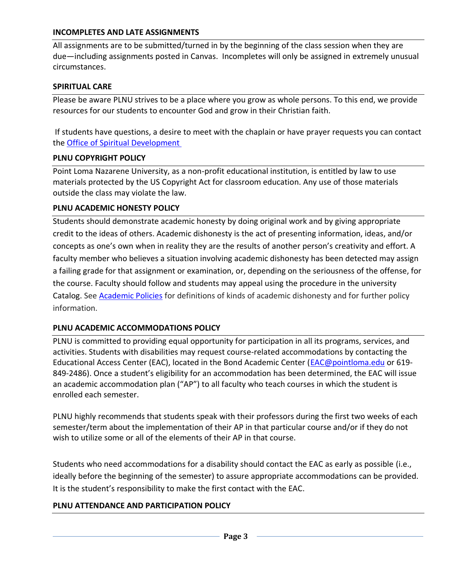#### **INCOMPLETES AND LATE ASSIGNMENTS**

All assignments are to be submitted/turned in by the beginning of the class session when they are due—including assignments posted in Canvas. Incompletes will only be assigned in extremely unusual circumstances.

### **SPIRITUAL CARE**

Please be aware PLNU strives to be a place where you grow as whole persons. To this end, we provide resources for our students to encounter God and grow in their Christian faith.

If students have questions, a desire to meet with the chaplain or have prayer requests you can contact the [Office of Spiritual Development](https://www.pointloma.edu/offices/spiritual-development)

#### **PLNU COPYRIGHT POLICY**

Point Loma Nazarene University, as a non-profit educational institution, is entitled by law to use materials protected by the US Copyright Act for classroom education. Any use of those materials outside the class may violate the law.

### **PLNU ACADEMIC HONESTY POLICY**

Students should demonstrate academic honesty by doing original work and by giving appropriate credit to the ideas of others. Academic dishonesty is the act of presenting information, ideas, and/or concepts as one's own when in reality they are the results of another person's creativity and effort. A faculty member who believes a situation involving academic dishonesty has been detected may assign a failing grade for that assignment or examination, or, depending on the seriousness of the offense, for the course. Faculty should follow and students may appeal using the procedure in the university Catalog. See [Academic Policies](https://catalog.pointloma.edu/content.php?catoid=52&navoid=2919#Academic_Honesty) for definitions of kinds of academic dishonesty and for further policy information.

## **PLNU ACADEMIC ACCOMMODATIONS POLICY**

PLNU is committed to providing equal opportunity for participation in all its programs, services, and activities. Students with disabilities may request course-related accommodations by contacting the Educational Access Center (EAC), located in the Bond Academic Center [\(EAC@pointloma.edu](mailto:EAC@pointloma.edu) or 619-849-2486). Once a student's eligibility for an accommodation has been determined, the EAC will issue an academic accommodation plan ("AP") to all faculty who teach courses in which the student is enrolled each semester.

PLNU highly recommends that students speak with their professors during the first two weeks of each semester/term about the implementation of their AP in that particular course and/or if they do not wish to utilize some or all of the elements of their AP in that course.

Students who need accommodations for a disability should contact the EAC as early as possible (i.e., ideally before the beginning of the semester) to assure appropriate accommodations can be provided. It is the student's responsibility to make the first contact with the EAC.

## **PLNU ATTENDANCE AND PARTICIPATION POLICY**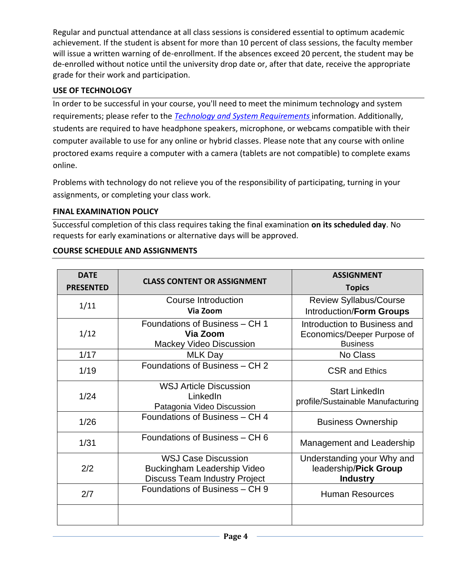Regular and punctual attendance at all class sessions is considered essential to optimum academic achievement. If the student is absent for more than 10 percent of class sessions, the faculty member will issue a written warning of de-enrollment. If the absences exceed 20 percent, the student may be de-enrolled without notice until the university drop date or, after that date, receive the appropriate grade for their work and participation.

## **USE OF TECHNOLOGY**

In order to be successful in your course, you'll need to meet the minimum technology and system requirements; please refer to the *[Technology and System Requirements](https://help.pointloma.edu/TDClient/1808/Portal/KB/ArticleDet?ID=108349)* information. Additionally, students are required to have headphone speakers, microphone, or webcams compatible with their computer available to use for any online or hybrid classes. Please note that any course with online proctored exams require a computer with a camera (tablets are not compatible) to complete exams online.

Problems with technology do not relieve you of the responsibility of participating, turning in your assignments, or completing your class work.

### **FINAL EXAMINATION POLICY**

Successful completion of this class requires taking the final examination **on its scheduled day**. No requests for early examinations or alternative days will be approved.

| <b>DATE</b><br><b>PRESENTED</b> | <b>CLASS CONTENT OR ASSIGNMENT</b>                                                                | <b>ASSIGNMENT</b><br><b>Topics</b>                                             |
|---------------------------------|---------------------------------------------------------------------------------------------------|--------------------------------------------------------------------------------|
| 1/11                            | Course Introduction<br>Via Zoom                                                                   | <b>Review Syllabus/Course</b><br>Introduction/Form Groups                      |
| 1/12                            | Foundations of Business - CH 1<br>Via Zoom<br><b>Mackey Video Discussion</b>                      | Introduction to Business and<br>Economics/Deeper Purpose of<br><b>Business</b> |
| 1/17                            | <b>MLK Day</b>                                                                                    | No Class                                                                       |
| 1/19                            | Foundations of Business - CH 2                                                                    | <b>CSR and Ethics</b>                                                          |
| 1/24                            | <b>WSJ Article Discussion</b><br>LinkedIn<br>Patagonia Video Discussion                           | <b>Start LinkedIn</b><br>profile/Sustainable Manufacturing                     |
| 1/26                            | Foundations of Business - CH 4                                                                    | <b>Business Ownership</b>                                                      |
| 1/31                            | Foundations of Business - CH 6                                                                    | Management and Leadership                                                      |
| 2/2                             | <b>WSJ Case Discussion</b><br>Buckingham Leadership Video<br><b>Discuss Team Industry Project</b> | Understanding your Why and<br>leadership/Pick Group<br><b>Industry</b>         |
| 2/7                             | Foundations of Business - CH 9                                                                    | <b>Human Resources</b>                                                         |
|                                 |                                                                                                   |                                                                                |

## **COURSE SCHEDULE AND ASSIGNMENTS**